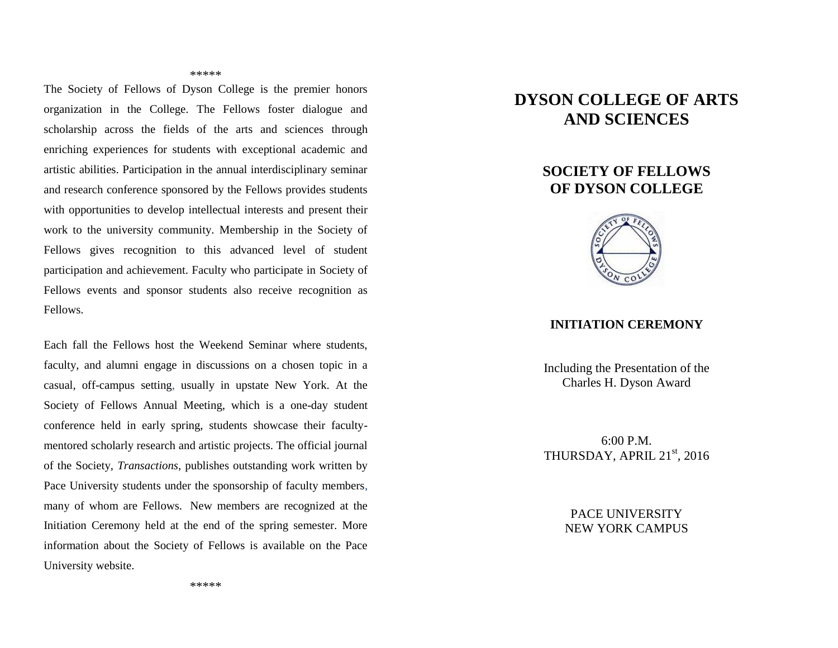#### \*\*\*\*\*

The Society of Fellows of Dyson College is the premier honors organization in the College. The Fellows foster dialogue and scholarship across the fields of the arts and sciences through enriching experiences for students with exceptional academic and artistic abilities. Participation in the annual interdisciplinary seminar and research conference sponsored by the Fellows provides students with opportunities to develop intellectual interests and present their work to the university community. Membership in the Society of Fellows gives recognition to this advanced level of student participation and achievement. Faculty who participate in Society of Fellows events and sponsor students also receive recognition as Fellows.

Each fall the Fellows host the Weekend Seminar where students, faculty, and alumni engage in discussions on a chosen topic in a casual, off-campus setting, usually in upstate New York. At the Society of Fellows Annual Meeting, which is a one-day student conference held in early spring, students showcase their facultymentored scholarly research and artistic projects. The official journal of the Society, *Transactions*, publishes outstanding work written by Pace University students under the sponsorship of faculty members, many of whom are Fellows. New members are recognized at the Initiation Ceremony held at the end of the spring semester. More information about the Society of Fellows is available on the Pace University website.

# **DYSON COLLEGE OF ARTS AND SCIENCES**

## **SOCIETY OF FELLOWS OF DYSON COLLEGE**



### **INITIATION CEREMONY**

Including the Presentation of the Charles H. Dyson Award

6:00 P.M. THURSDAY, APRIL 21<sup>st</sup>, 2016

> PACE UNIVERSITY NEW YORK CAMPUS